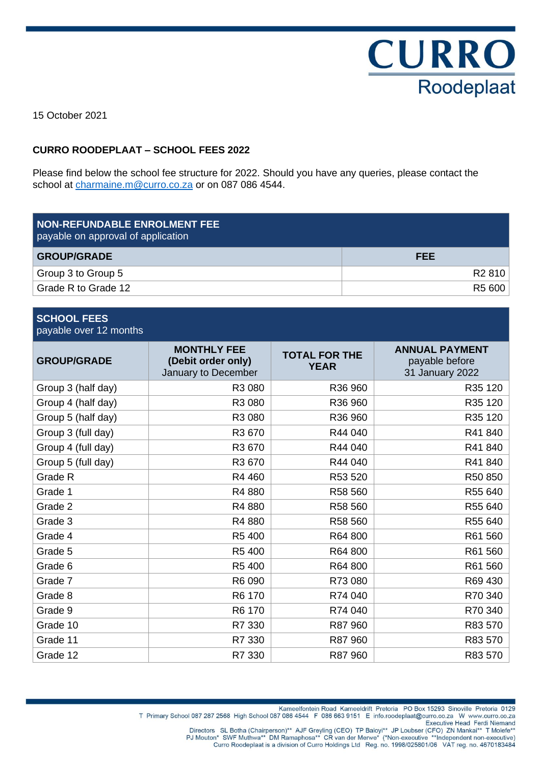

15 October 2021

### **CURRO ROODEPLAAT – SCHOOL FEES 2022**

Please find below the school fee structure for 2022. Should you have any queries, please contact the school at [charmaine.m@curro.co.za](mailto:charmaine.m@curro.co.za) or on 087 086 4544.

| <b>NON-REFUNDABLE ENROLMENT FEE</b><br>payable on approval of application |                    |
|---------------------------------------------------------------------------|--------------------|
| <b>GROUP/GRADE</b>                                                        | <b>FEE</b>         |
| Group 3 to Group 5                                                        | R <sub>2</sub> 810 |
| Grade R to Grade 12                                                       | R5 600             |

| <b>SCHOOL FEES</b><br>payable over 12 months |                                                                 |                                     |                                                            |  |  |
|----------------------------------------------|-----------------------------------------------------------------|-------------------------------------|------------------------------------------------------------|--|--|
| <b>GROUP/GRADE</b>                           | <b>MONTHLY FEE</b><br>(Debit order only)<br>January to December | <b>TOTAL FOR THE</b><br><b>YEAR</b> | <b>ANNUAL PAYMENT</b><br>payable before<br>31 January 2022 |  |  |
| Group 3 (half day)                           | R3 080                                                          | R36 960                             | R35 120                                                    |  |  |
| Group 4 (half day)                           | R3 080                                                          | R36 960                             | R35 120                                                    |  |  |
| Group 5 (half day)                           | R3 080                                                          | R36 960                             | R35 120                                                    |  |  |
| Group 3 (full day)                           | R3 670                                                          | R44 040                             | R41 840                                                    |  |  |
| Group 4 (full day)                           | R3 670                                                          | R44 040                             | R41840                                                     |  |  |
| Group 5 (full day)                           | R3 670                                                          | R44 040                             | R41840                                                     |  |  |
| Grade R                                      | R4 460                                                          | R53 520                             | R50 850                                                    |  |  |
| Grade 1                                      | R4 880                                                          | R58 560                             | R55 640                                                    |  |  |
| Grade 2                                      | R4 880                                                          | R58 560                             | R55 640                                                    |  |  |
| Grade 3                                      | R4 880                                                          | R58 560                             | R55 640                                                    |  |  |
| Grade 4                                      | R5 400                                                          | R64 800                             | R61 560                                                    |  |  |
| Grade 5                                      | R5 400                                                          | R64 800                             | R61 560                                                    |  |  |
| Grade 6                                      | R5 400                                                          | R64 800                             | R61 560                                                    |  |  |
| Grade 7                                      | R6 090                                                          | R73 080                             | R69 430                                                    |  |  |
| Grade 8                                      | R6 170                                                          | R74 040                             | R70 340                                                    |  |  |
| Grade 9                                      | R6 170                                                          | R74 040                             | R70 340                                                    |  |  |
| Grade 10                                     | R7 330                                                          | R87 960                             | R83 570                                                    |  |  |
| Grade 11                                     | R7 330                                                          | R87 960                             | R83 570                                                    |  |  |
| Grade 12                                     | R7 330                                                          | R87 960                             | R83 570                                                    |  |  |

Kameelfontein Road Kameeldrift Pretoria PO Box 15293 Sinoville Pretoria 0129 T Primary School 087 287 2568 High School 087 086 4544 F 086 663 9151 E info.roodeplaat@curro.co.za W www.curro.co.za

- Executive Head Ferdi Niemand
- Directors SL Botha (Chairperson)\*\* AJF Greyling (CEO) TP Baloyi\*\* JP Loubser (CFO) ZN Mankai\*\* T Molefe<sup>\*\*</sup><br>PJ Mouton\* SWF Muthwa\*\* DM Ramaphosa\*\* CR van der Merwe\* (\*Non-executive \*\*Independent non-executive)<br>Curro Roodep
	-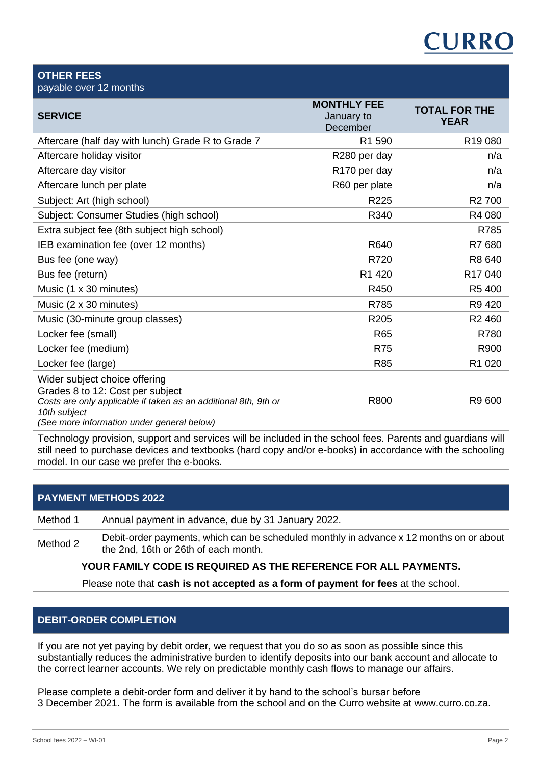# **CURRO**

| <b>OTHER FEES</b><br>payable over 12 months                                                                                                                                                        |                                              |                                     |
|----------------------------------------------------------------------------------------------------------------------------------------------------------------------------------------------------|----------------------------------------------|-------------------------------------|
| <b>SERVICE</b>                                                                                                                                                                                     | <b>MONTHLY FEE</b><br>January to<br>December | <b>TOTAL FOR THE</b><br><b>YEAR</b> |
| Aftercare (half day with lunch) Grade R to Grade 7                                                                                                                                                 | R1 590                                       | R <sub>19</sub> 080                 |
| Aftercare holiday visitor                                                                                                                                                                          | R280 per day                                 | n/a                                 |
| Aftercare day visitor                                                                                                                                                                              | R170 per day                                 | n/a                                 |
| Aftercare lunch per plate                                                                                                                                                                          | R60 per plate                                | n/a                                 |
| Subject: Art (high school)                                                                                                                                                                         | R <sub>225</sub>                             | R <sub>2</sub> 700                  |
| Subject: Consumer Studies (high school)                                                                                                                                                            | R340                                         | R4 080                              |
| Extra subject fee (8th subject high school)                                                                                                                                                        |                                              | R785                                |
| IEB examination fee (over 12 months)                                                                                                                                                               | R640                                         | R7 680                              |
| Bus fee (one way)                                                                                                                                                                                  | R720                                         | R8 640                              |
| Bus fee (return)                                                                                                                                                                                   | R1 420                                       | R <sub>17</sub> 040                 |
| Music (1 x 30 minutes)                                                                                                                                                                             | R450                                         | R5 400                              |
| Music (2 x 30 minutes)                                                                                                                                                                             | R785                                         | R9 420                              |
| Music (30-minute group classes)                                                                                                                                                                    | R205                                         | R <sub>2460</sub>                   |
| Locker fee (small)                                                                                                                                                                                 | <b>R65</b>                                   | R780                                |
| Locker fee (medium)                                                                                                                                                                                | <b>R75</b>                                   | R900                                |
| Locker fee (large)                                                                                                                                                                                 | <b>R85</b>                                   | R1 020                              |
| Wider subject choice offering<br>Grades 8 to 12: Cost per subject<br>Costs are only applicable if taken as an additional 8th, 9th or<br>10th subject<br>(See more information under general below) | R800                                         | R9 600                              |

Technology provision, support and services will be included in the school fees. Parents and guardians will still need to purchase devices and textbooks (hard copy and/or e-books) in accordance with the schooling model. In our case we prefer the e-books.

# **PAYMENT METHODS 2022**

| Method 1 | Annual payment in advance, due by 31 January 2022.                                                                              |  |
|----------|---------------------------------------------------------------------------------------------------------------------------------|--|
| Method 2 | Debit-order payments, which can be scheduled monthly in advance x 12 months on or about<br>the 2nd, 16th or 26th of each month. |  |
|          |                                                                                                                                 |  |

# **YOUR FAMILY CODE IS REQUIRED AS THE REFERENCE FOR ALL PAYMENTS.**

Please note that **cash is not accepted as a form of payment for fees** at the school.

# **DEBIT-ORDER COMPLETION**

If you are not yet paying by debit order, we request that you do so as soon as possible since this substantially reduces the administrative burden to identify deposits into our bank account and allocate to the correct learner accounts. We rely on predictable monthly cash flows to manage our affairs.

Please complete a debit-order form and deliver it by hand to the school's bursar before 3 December 2021. The form is available from the school and on the Curro website at www.curro.co.za.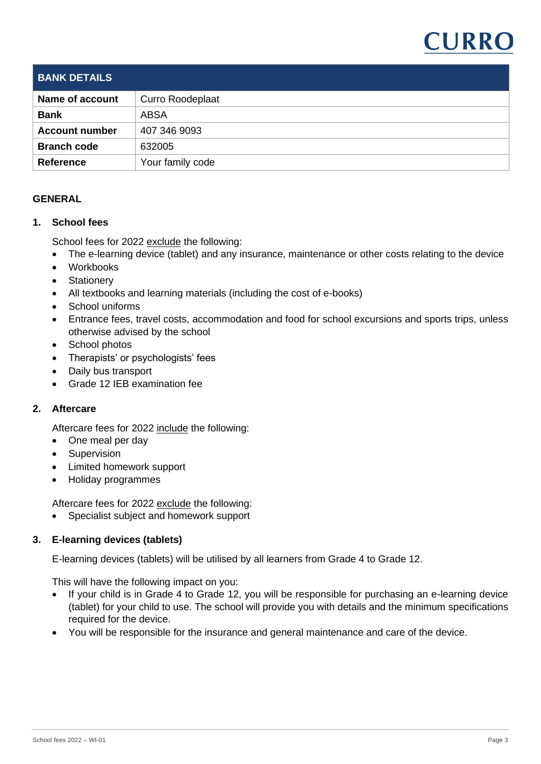

| <b>BANK DETAILS</b>   |                         |
|-----------------------|-------------------------|
| Name of account       | <b>Curro Roodeplaat</b> |
| <b>Bank</b>           | <b>ABSA</b>             |
| <b>Account number</b> | 407 346 9093            |
| <b>Branch code</b>    | 632005                  |
| <b>Reference</b>      | Your family code        |
|                       |                         |

## **GENERAL**

#### **1. School fees**

School fees for 2022 exclude the following:

- The e-learning device (tablet) and any insurance, maintenance or other costs relating to the device
- Workbooks
- Stationery
- All textbooks and learning materials (including the cost of e-books)
- School uniforms
- Entrance fees, travel costs, accommodation and food for school excursions and sports trips, unless otherwise advised by the school
- School photos
- Therapists' or psychologists' fees
- Daily bus transport
- Grade 12 IEB examination fee

#### **2. Aftercare**

Aftercare fees for 2022 include the following:

- One meal per day
- Supervision
- Limited homework support
- Holiday programmes

Aftercare fees for 2022 exclude the following:

• Specialist subject and homework support

#### **3. E-learning devices (tablets)**

E-learning devices (tablets) will be utilised by all learners from Grade 4 to Grade 12.

This will have the following impact on you:

- If your child is in Grade 4 to Grade 12, you will be responsible for purchasing an e-learning device (tablet) for your child to use. The school will provide you with details and the minimum specifications required for the device.
- You will be responsible for the insurance and general maintenance and care of the device.